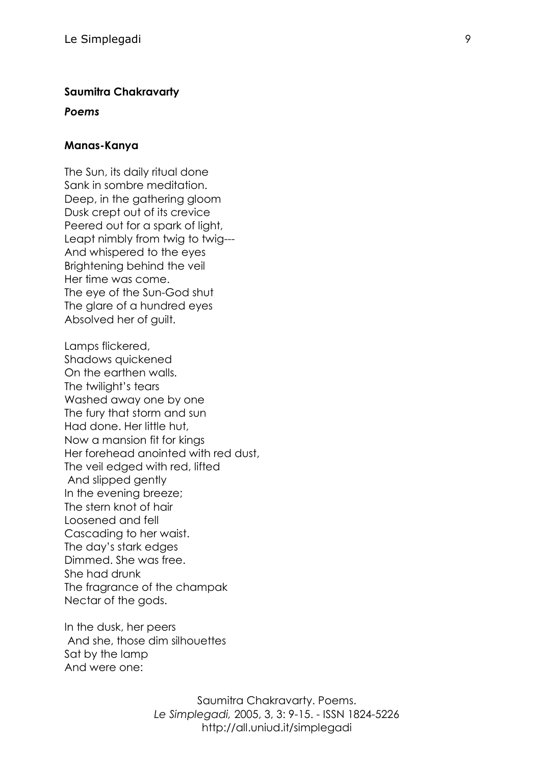### **Saumitra Chakravarty**

#### *Poems*

#### **Manas-Kanya**

The Sun, its daily ritual done Sank in sombre meditation. Deep, in the gathering gloom Dusk crept out of its crevice Peered out for a spark of light, Leapt nimbly from twig to twig--- And whispered to the eyes Brightening behind the veil Her time was come. The eye of the Sun-God shut The glare of a hundred eyes Absolved her of guilt.

Lamps flickered, Shadows quickened On the earthen walls. The twilight's tears Washed away one by one The fury that storm and sun Had done. Her little hut, Now a mansion fit for kings Her forehead anointed with red dust, The veil edged with red, lifted And slipped gently In the evening breeze; The stern knot of hair Loosened and fell Cascading to her waist. The day's stark edges Dimmed. She was free. She had drunk The fragrance of the champak Nectar of the gods.

In the dusk, her peers And she, those dim silhouettes Sat by the lamp And were one: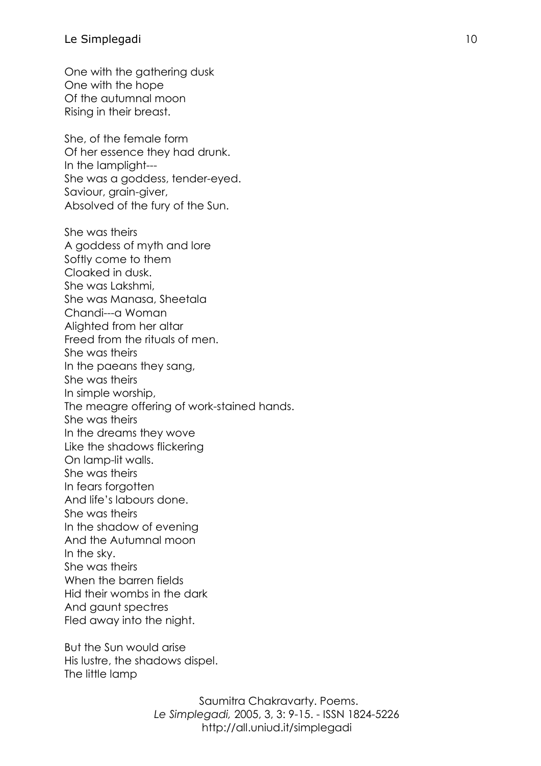One with the gathering dusk One with the hope Of the autumnal moon Rising in their breast.

She, of the female form Of her essence they had drunk. In the lamplight--- She was a goddess, tender-eyed. Saviour, grain-giver, Absolved of the fury of the Sun.

She was theirs A goddess of myth and lore Softly come to them Cloaked in dusk. She was Lakshmi, She was Manasa, Sheetala Chandi---a Woman Alighted from her altar Freed from the rituals of men. She was theirs In the paeans they sang, She was theirs In simple worship, The meagre offering of work-stained hands. She was theirs In the dreams they wove Like the shadows flickering On lamp-lit walls. She was theirs In fears forgotten And life's labours done. She was theirs In the shadow of evening And the Autumnal moon In the sky. She was theirs When the barren fields Hid their wombs in the dark And gaunt spectres Fled away into the night.

But the Sun would arise His lustre, the shadows dispel. The little lamp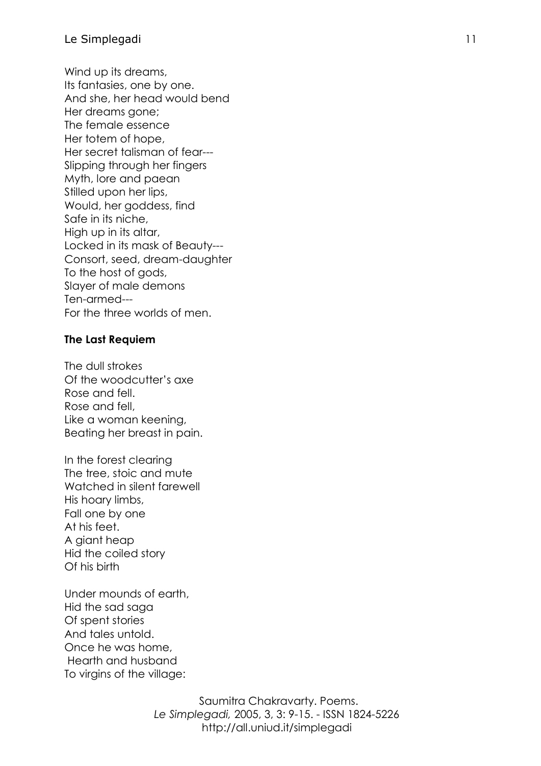Wind up its dreams, Its fantasies, one by one. And she, her head would bend Her dreams gone; The female essence Her totem of hope, Her secret talisman of fear--- Slipping through her fingers Myth, lore and paean Stilled upon her lips, Would, her goddess, find Safe in its niche, High up in its altar, Locked in its mask of Beauty--- Consort, seed, dream-daughter To the host of gods, Slayer of male demons Ten-armed--- For the three worlds of men.

## **The Last Requiem**

The dull strokes Of the woodcutter's axe Rose and fell. Rose and fell, Like a woman keening, Beating her breast in pain.

In the forest clearing The tree, stoic and mute Watched in silent farewell His hoary limbs, Fall one by one At his feet. A giant heap Hid the coiled story Of his birth

Under mounds of earth, Hid the sad saga Of spent stories And tales untold. Once he was home, Hearth and husband To virgins of the village: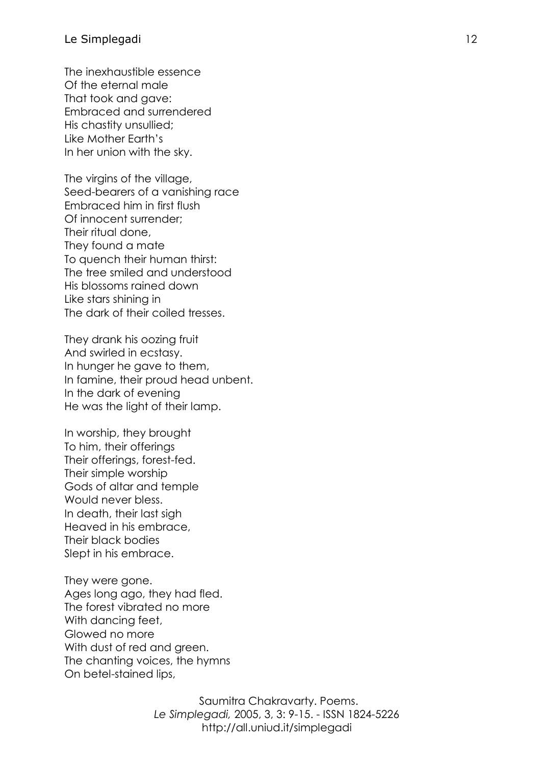The inexhaustible essence Of the eternal male That took and gave: Embraced and surrendered His chastity unsullied; Like Mother Earth's In her union with the sky.

The virgins of the village, Seed-bearers of a vanishing race Embraced him in first flush Of innocent surrender; Their ritual done, They found a mate To quench their human thirst: The tree smiled and understood His blossoms rained down Like stars shining in The dark of their coiled tresses.

They drank his oozing fruit And swirled in ecstasy. In hunger he gave to them, In famine, their proud head unbent. In the dark of evening He was the light of their lamp.

In worship, they brought To him, their offerings Their offerings, forest-fed. Their simple worship Gods of altar and temple Would never bless. In death, their last sigh Heaved in his embrace, Their black bodies Slept in his embrace.

They were gone. Ages long ago, they had fled. The forest vibrated no more With dancing feet, Glowed no more With dust of red and green. The chanting voices, the hymns On betel-stained lips,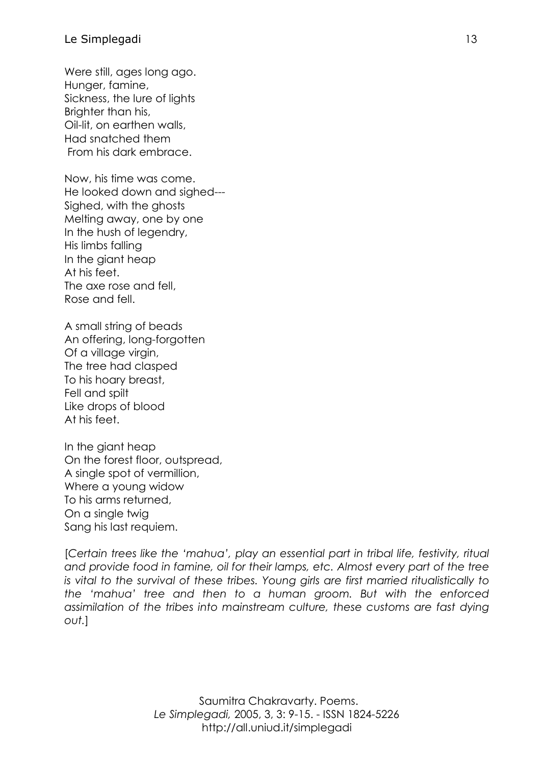## Le Simplegadi and a strategic strategies and a strategic strategies and a strategies of  $\sim$  13

Were still, ages long ago. Hunger, famine, Sickness, the lure of lights Brighter than his, Oil-lit, on earthen walls, Had snatched them From his dark embrace.

Now, his time was come. He looked down and sighed--- Sighed, with the ghosts Melting away, one by one In the hush of legendry, His limbs falling In the giant heap At his feet. The axe rose and fell, Rose and fell.

A small string of beads An offering, long-forgotten Of a village virgin, The tree had clasped To his hoary breast, Fell and spilt Like drops of blood At his feet.

In the giant heap On the forest floor, outspread, A single spot of vermillion, Where a young widow To his arms returned, On a single twig Sang his last requiem.

[*Certain trees like the 'mahua', play an essential part in tribal life, festivity, ritual and provide food in famine, oil for their lamps, etc. Almost every part of the tree is vital to the survival of these tribes. Young girls are first married ritualistically to the 'mahua' tree and then to a human groom. But with the enforced assimilation of the tribes into mainstream culture, these customs are fast dying out.*]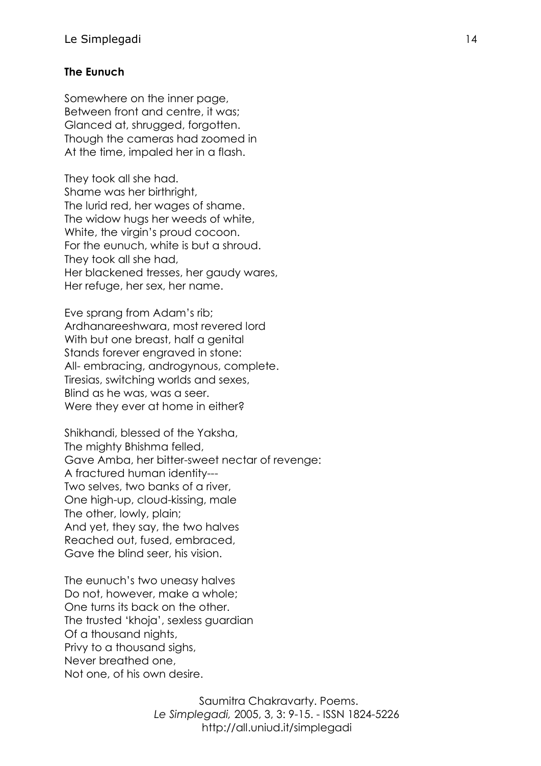# **The Eunuch**

Somewhere on the inner page, Between front and centre, it was; Glanced at, shrugged, forgotten. Though the cameras had zoomed in At the time, impaled her in a flash.

They took all she had. Shame was her birthright, The lurid red, her wages of shame. The widow hugs her weeds of white, White, the virgin's proud cocoon. For the eunuch, white is but a shroud. They took all she had, Her blackened tresses, her gaudy wares, Her refuge, her sex, her name.

Eve sprang from Adam's rib; Ardhanareeshwara, most revered lord With but one breast, half a genital Stands forever engraved in stone: All- embracing, androgynous, complete. Tiresias, switching worlds and sexes, Blind as he was, was a seer. Were they ever at home in either?

Shikhandi, blessed of the Yaksha, The mighty Bhishma felled, Gave Amba, her bitter-sweet nectar of revenge: A fractured human identity--- Two selves, two banks of a river, One high-up, cloud-kissing, male The other, lowly, plain; And yet, they say, the two halves Reached out, fused, embraced, Gave the blind seer, his vision.

The eunuch's two uneasy halves Do not, however, make a whole; One turns its back on the other. The trusted 'khoja', sexless guardian Of a thousand nights, Privy to a thousand sighs, Never breathed one, Not one, of his own desire.